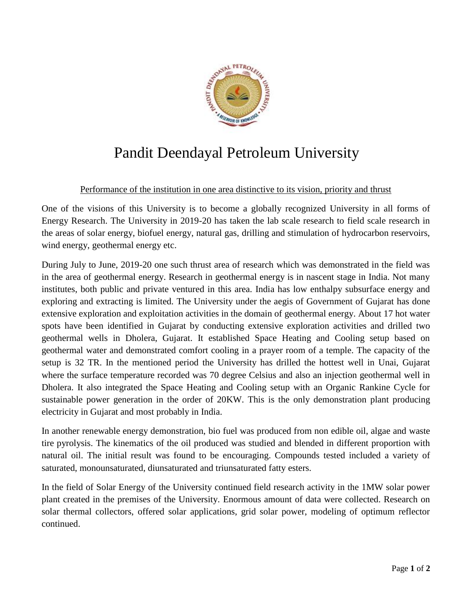

## Pandit Deendayal Petroleum University

## Performance of the institution in one area distinctive to its vision, priority and thrust

One of the visions of this University is to become a globally recognized University in all forms of Energy Research. The University in 2019-20 has taken the lab scale research to field scale research in the areas of solar energy, biofuel energy, natural gas, drilling and stimulation of hydrocarbon reservoirs, wind energy, geothermal energy etc.

During July to June, 2019-20 one such thrust area of research which was demonstrated in the field was in the area of geothermal energy. Research in geothermal energy is in nascent stage in India. Not many institutes, both public and private ventured in this area. India has low enthalpy subsurface energy and exploring and extracting is limited. The University under the aegis of Government of Gujarat has done extensive exploration and exploitation activities in the domain of geothermal energy. About 17 hot water spots have been identified in Gujarat by conducting extensive exploration activities and drilled two geothermal wells in Dholera, Gujarat. It established Space Heating and Cooling setup based on geothermal water and demonstrated comfort cooling in a prayer room of a temple. The capacity of the setup is 32 TR. In the mentioned period the University has drilled the hottest well in Unai, Gujarat where the surface temperature recorded was 70 degree Celsius and also an injection geothermal well in Dholera. It also integrated the Space Heating and Cooling setup with an Organic Rankine Cycle for sustainable power generation in the order of 20KW. This is the only demonstration plant producing electricity in Gujarat and most probably in India.

In another renewable energy demonstration, bio fuel was produced from non edible oil, algae and waste tire pyrolysis. The kinematics of the oil produced was studied and blended in different proportion with natural oil. The initial result was found to be encouraging. Compounds tested included a variety of saturated, monounsaturated, diunsaturated and triunsaturated fatty esters.

In the field of Solar Energy of the University continued field research activity in the 1MW solar power plant created in the premises of the University. Enormous amount of data were collected. Research on solar thermal collectors, offered solar applications, grid solar power, modeling of optimum reflector continued.